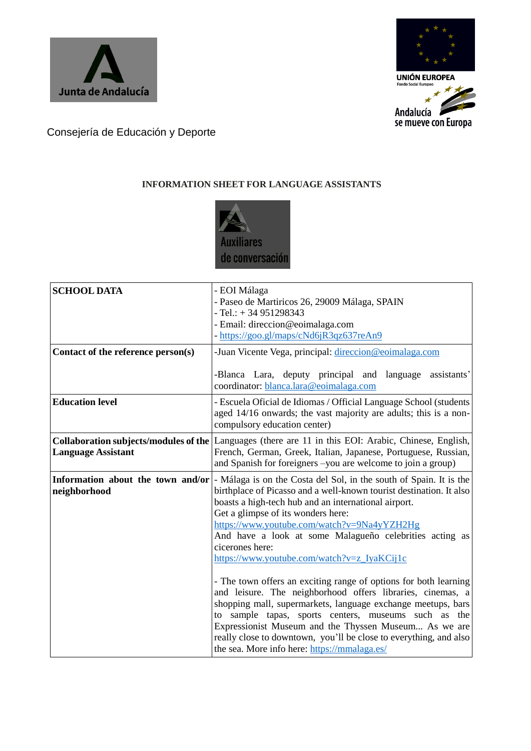



## Consejería de Educación y Deporte

## **INFORMATION SHEET FOR LANGUAGE ASSISTANTS**



| <b>SCHOOL DATA</b>                                | - EOI Málaga<br>- Paseo de Martiricos 26, 29009 Málaga, SPAIN<br>$-$ Tel.: $+34951298343$<br>- Email: direccion@eoimalaga.com<br>- https://goo.gl/maps/cNd6jR3qz637reAn9                                                                                                                                                                                                                                                                                                                                                                                                                                                                                                                                                                                                                                                                                    |
|---------------------------------------------------|-------------------------------------------------------------------------------------------------------------------------------------------------------------------------------------------------------------------------------------------------------------------------------------------------------------------------------------------------------------------------------------------------------------------------------------------------------------------------------------------------------------------------------------------------------------------------------------------------------------------------------------------------------------------------------------------------------------------------------------------------------------------------------------------------------------------------------------------------------------|
| Contact of the reference person(s)                | -Juan Vicente Vega, principal: direccion@eoimalaga.com                                                                                                                                                                                                                                                                                                                                                                                                                                                                                                                                                                                                                                                                                                                                                                                                      |
|                                                   | -Blanca Lara, deputy principal and language assistants'<br>coordinator: blanca.lara@eoimalaga.com                                                                                                                                                                                                                                                                                                                                                                                                                                                                                                                                                                                                                                                                                                                                                           |
| <b>Education level</b>                            | - Escuela Oficial de Idiomas / Official Language School (students<br>aged 14/16 onwards; the vast majority are adults; this is a non-<br>compulsory education center)                                                                                                                                                                                                                                                                                                                                                                                                                                                                                                                                                                                                                                                                                       |
| <b>Language Assistant</b>                         | <b>Collaboration subjects/modules of the Languages (there are 11 in this EOI: Arabic, Chinese, English,</b><br>French, German, Greek, Italian, Japanese, Portuguese, Russian,<br>and Spanish for foreigners -you are welcome to join a group)                                                                                                                                                                                                                                                                                                                                                                                                                                                                                                                                                                                                               |
| Information about the town and/or<br>neighborhood | - Málaga is on the Costa del Sol, in the south of Spain. It is the<br>birthplace of Picasso and a well-known tourist destination. It also<br>boasts a high-tech hub and an international airport.<br>Get a glimpse of its wonders here:<br>https://www.youtube.com/watch?v=9Na4yYZH2Hg<br>And have a look at some Malagueño celebrities acting as<br>cicerones here:<br>https://www.youtube.com/watch?v=z_IyaKCij1c<br>- The town offers an exciting range of options for both learning<br>and leisure. The neighborhood offers libraries, cinemas, a<br>shopping mall, supermarkets, language exchange meetups, bars<br>to sample tapas, sports centers, museums such as the<br>Expressionist Museum and the Thyssen Museum As we are<br>really close to downtown, you'll be close to everything, and also<br>the sea. More info here: https://mmalaga.es/ |